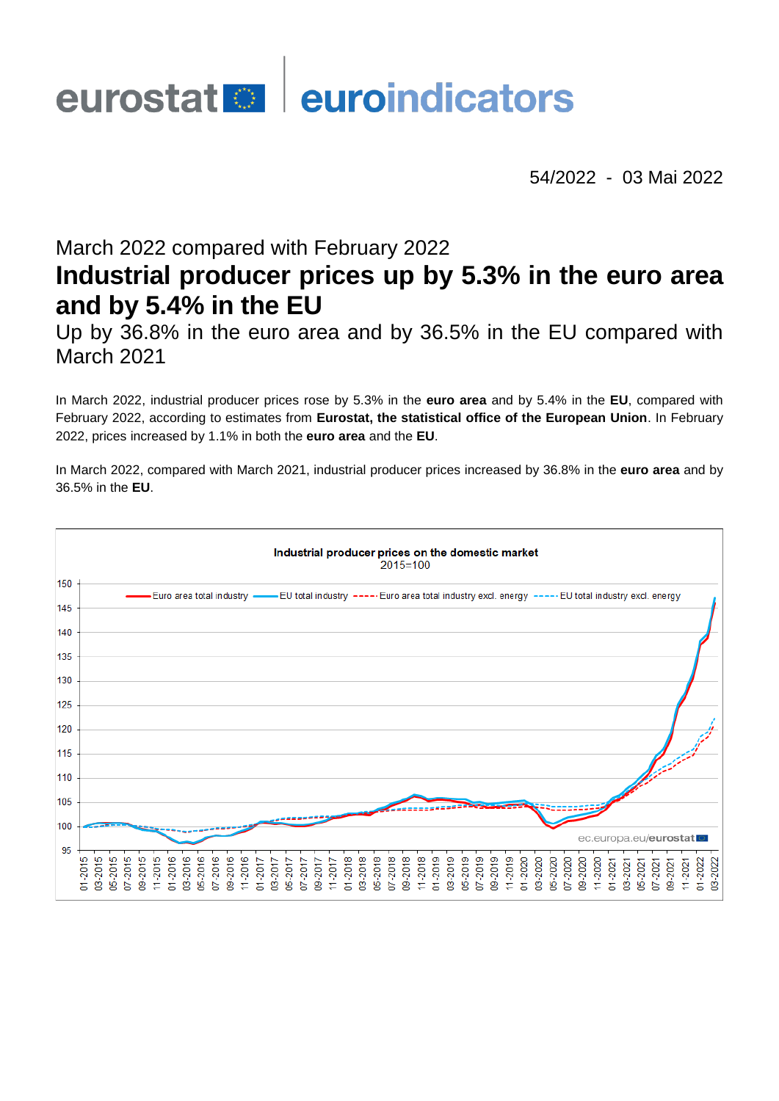# eurostat<sup>o</sup> euroindicators

54/2022 - 03 Mai 2022

# March 2022 compared with February 2022 **Industrial producer prices up by 5.3% in the euro area and by 5.4% in the EU**

Up by 36.8% in the euro area and by 36.5% in the EU compared with March 2021

In March 2022, industrial producer prices rose by 5.3% in the **euro area** and by 5.4% in the **EU**, compared with February 2022, according to estimates from **Eurostat, the statistical office of the European Union**. In February 2022, prices increased by 1.1% in both the **euro area** and the **EU**.

In March 2022, compared with March 2021, industrial producer prices increased by 36.8% in the **euro area** and by 36.5% in the **EU**.

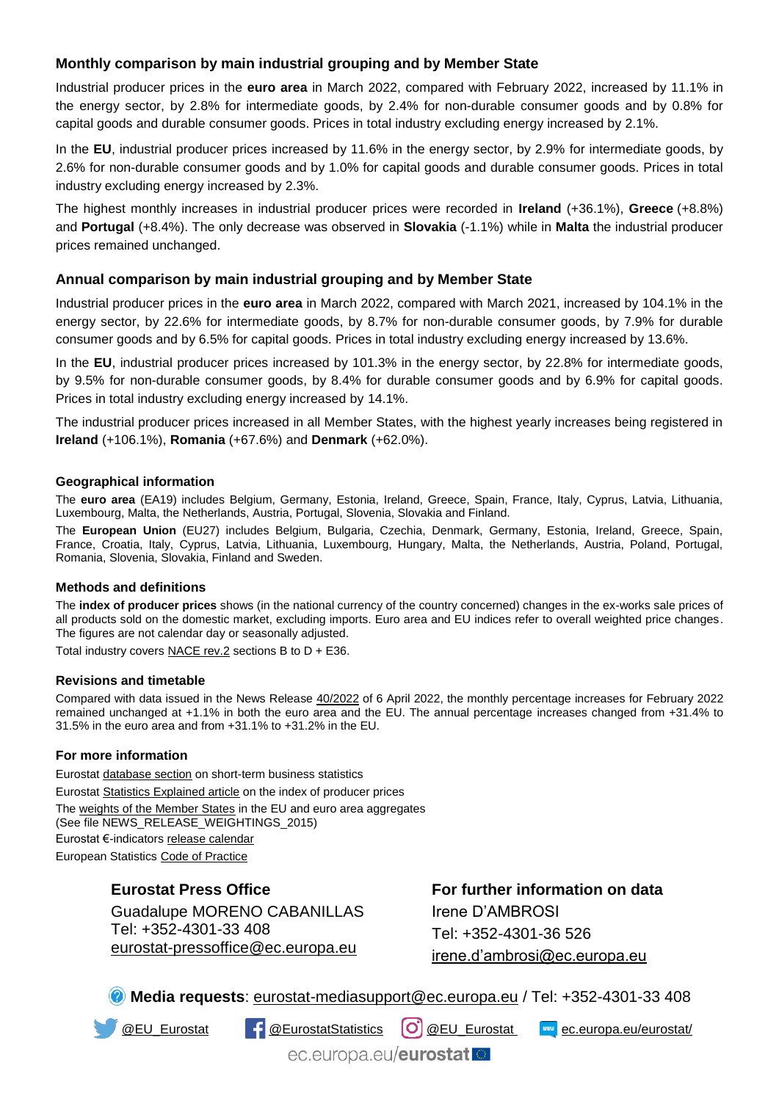# **Monthly comparison by main industrial grouping and by Member State**

Industrial producer prices in the **euro area** in March 2022, compared with February 2022, increased by 11.1% in the energy sector, by 2.8% for intermediate goods, by 2.4% for non-durable consumer goods and by 0.8% for capital goods and durable consumer goods. Prices in total industry excluding energy increased by 2.1%.

In the **EU**, industrial producer prices increased by 11.6% in the energy sector, by 2.9% for intermediate goods, by 2.6% for non-durable consumer goods and by 1.0% for capital goods and durable consumer goods. Prices in total industry excluding energy increased by 2.3%.

The highest monthly increases in industrial producer prices were recorded in **Ireland** (+36.1%), **Greece** (+8.8%) and **Portugal** (+8.4%). The only decrease was observed in **Slovakia** (-1.1%) while in **Malta** the industrial producer prices remained unchanged.

#### **Annual comparison by main industrial grouping and by Member State**

Industrial producer prices in the **euro area** in March 2022, compared with March 2021, increased by 104.1% in the energy sector, by 22.6% for intermediate goods, by 8.7% for non-durable consumer goods, by 7.9% for durable consumer goods and by 6.5% for capital goods. Prices in total industry excluding energy increased by 13.6%.

In the **EU**, industrial producer prices increased by 101.3% in the energy sector, by 22.8% for intermediate goods, by 9.5% for non-durable consumer goods, by 8.4% for durable consumer goods and by 6.9% for capital goods. Prices in total industry excluding energy increased by 14.1%.

The industrial producer prices increased in all Member States, with the highest yearly increases being registered in **Ireland** (+106.1%), **Romania** (+67.6%) and **Denmark** (+62.0%).

#### **Geographical information**

The **euro area** (EA19) includes Belgium, Germany, Estonia, Ireland, Greece, Spain, France, Italy, Cyprus, Latvia, Lithuania, Luxembourg, Malta, the Netherlands, Austria, Portugal, Slovenia, Slovakia and Finland.

The **European Union** (EU27) includes Belgium, Bulgaria, Czechia, Denmark, Germany, Estonia, Ireland, Greece, Spain, France, Croatia, Italy, Cyprus, Latvia, Lithuania, Luxembourg, Hungary, Malta, the Netherlands, Austria, Poland, Portugal, Romania, Slovenia, Slovakia, Finland and Sweden.

#### **Methods and definitions**

The **index of producer prices** shows (in the national currency of the country concerned) changes in the ex-works sale prices of all products sold on the domestic market, excluding imports. Euro area and EU indices refer to overall weighted price changes. The figures are not calendar day or seasonally adjusted.

Total industry covers  $NACE$  rev. $2$  sections B to  $D + E36$ .

#### **Revisions and timetable**

Compared with data issued in the News Release [40/2022](https://ec.europa.eu/eurostat/documents/2995521/14442493/4-06042022-AP-EN.pdf/04a4bf35-787f-a5d5-8edb-dc9e15fd421f) of 6 April 2022, the monthly percentage increases for February 2022 remained unchanged at +1.1% in both the euro area and the EU. The annual percentage increases changed from +31.4% to 31.5% in the euro area and from +31.1% to +31.2% in the EU.

#### **For more information**

Eurosta[t database section](https://ec.europa.eu/eurostat/web/short-term-business-statistics/data/database) on short-term business statistics Eurosta[t Statistics Explained article](https://ec.europa.eu/eurostat/statistics-explained/index.php/Industrial_producer_price_index_overview) on the index of producer prices Th[e weights of the Member States](https://circabc.europa.eu/w/browse/d72689ec-103e-41a8-81d1-2e5ea5f171f5) in the EU and euro area aggregates (See file NEWS\_RELEASE\_WEIGHTINGS\_2015) Eurostat €-indicator[s release calendar](https://ec.europa.eu/eurostat/news/release-calendar) European Statistic[s Code of Practice](https://ec.europa.eu/eurostat/web/products-catalogues/-/KS-02-18-142)

### **Eurostat Press Office**

Guadalupe MORENO CABANILLAS Tel: +352-4301-33 408 [eurostat-pressoffice@ec.europa.eu](mailto:eurostat-pressoffice@ec.europa.eu)

**For further information on data** Irene D'AMBROSI Tel: +352-4301-36 526 [irene.d'ambrosi@ec.europa.eu](mailto:irene.d)

**Media requests**: [eurostat-mediasupport@ec.europa.eu](mailto:eurostat-media-support@ec.europa.eu) / Tel: +352-4301-33 408

[@EU\\_Eurostat](https://twitter.com/EU_Eurostat) [@EurostatStatistics](https://www.facebook.com/EurostatStatistics) [@EU\\_Eurostat](https://www.instagram.com/eu_eurostat/) [ec.europa.eu/eurostat/](https://ec.europa.eu/eurostat/)

ec.europa.eu/eurostat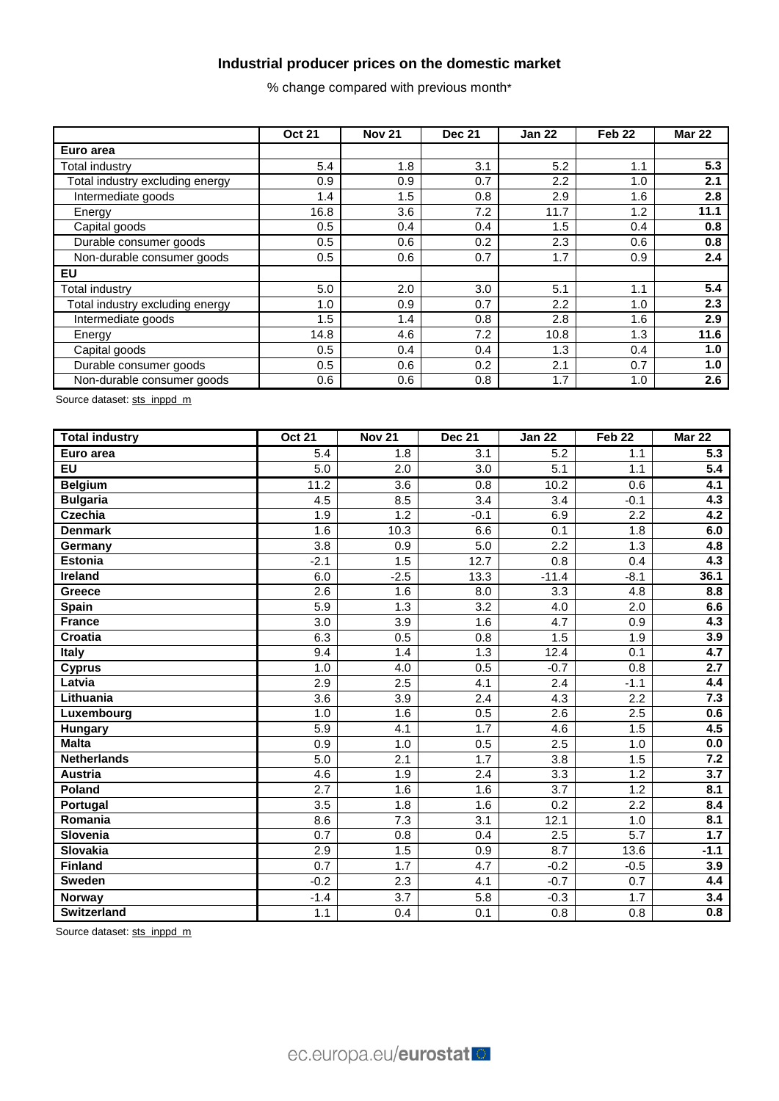# **Industrial producer prices on the domestic market**

% change compared with previous month\*

|                                 | <b>Oct 21</b> | <b>Nov 21</b> | <b>Dec 21</b> | <b>Jan 22</b> | Feb <sub>22</sub> | <b>Mar 22</b> |
|---------------------------------|---------------|---------------|---------------|---------------|-------------------|---------------|
| Euro area                       |               |               |               |               |                   |               |
| <b>Total industry</b>           | 5.4           | 1.8           | 3.1           | 5.2           | 1.1               | 5.3           |
| Total industry excluding energy | 0.9           | 0.9           | 0.7           | 2.2           | 1.0               | 2.1           |
| Intermediate goods              | 1.4           | 1.5           | 0.8           | 2.9           | 1.6               | 2.8           |
| Energy                          | 16.8          | 3.6           | 7.2           | 11.7          | 1.2               | 11.1          |
| Capital goods                   | 0.5           | 0.4           | 0.4           | 1.5           | 0.4               | 0.8           |
| Durable consumer goods          | 0.5           | 0.6           | 0.2           | 2.3           | 0.6               | 0.8           |
| Non-durable consumer goods      | 0.5           | 0.6           | 0.7           | 1.7           | 0.9               | 2.4           |
| EU                              |               |               |               |               |                   |               |
| Total industry                  | 5.0           | 2.0           | 3.0           | 5.1           | 1.1               | 5.4           |
| Total industry excluding energy | 1.0           | 0.9           | 0.7           | 2.2           | 1.0               | 2.3           |
| Intermediate goods              | 1.5           | 1.4           | 0.8           | 2.8           | 1.6               | 2.9           |
| Energy                          | 14.8          | 4.6           | 7.2           | 10.8          | 1.3               | 11.6          |
| Capital goods                   | 0.5           | 0.4           | 0.4           | 1.3           | 0.4               | 1.0           |
| Durable consumer goods          | 0.5           | 0.6           | 0.2           | 2.1           | 0.7               | 1.0           |
| Non-durable consumer goods      | 0.6           | 0.6           | 0.8           | 1.7           | 1.0               | 2.6           |

Source dataset: [sts\\_inppd\\_m](https://ec.europa.eu/eurostat/databrowser/bookmark/cd748268-b34e-4033-b663-cf3ce71c37cd?lang=en)

| <b>Total industry</b> | <b>Oct 21</b>    | <b>Nov 21</b>    | <b>Dec 21</b>    | <b>Jan 22</b>    | Feb <sub>22</sub> | Mar 22           |
|-----------------------|------------------|------------------|------------------|------------------|-------------------|------------------|
| Euro area             | 5.4              | 1.8              | 3.1              | 5.2              | 1.1               | 5.3              |
| <b>EU</b>             | $\overline{5.0}$ | 2.0              | 3.0              | $\overline{5.1}$ | 1.1               | $\overline{5.4}$ |
| <b>Belgium</b>        | 11.2             | 3.6              | 0.8              | 10.2             | 0.6               | 4.1              |
| <b>Bulgaria</b>       | 4.5              | 8.5              | 3.4              | 3.4              | $-0.1$            | 4.3              |
| <b>Czechia</b>        | 1.9              | 1.2              | $-0.1$           | 6.9              | 2.2               | 4.2              |
| <b>Denmark</b>        | 1.6              | 10.3             | 6.6              | 0.1              | 1.8               | 6.0              |
| Germany               | $\overline{3.8}$ | 0.9              | 5.0              | $\overline{2.2}$ | 1.3               | 4.8              |
| Estonia               | $-2.1$           | 1.5              | 12.7             | 0.8              | 0.4               | 4.3              |
| Ireland               | 6.0              | $-2.5$           | 13.3             | $-11.4$          | $-8.1$            | 36.1             |
| <b>Greece</b>         | 2.6              | 1.6              | 8.0              | 3.3              | 4.8               | 8.8              |
| Spain                 | 5.9              | 1.3              | 3.2              | 4.0              | 2.0               | 6.6              |
| <b>France</b>         | $\overline{3.0}$ | 3.9              | 1.6              | $\overline{4.7}$ | $\overline{0.9}$  | 4.3              |
| <b>Croatia</b>        | 6.3              | 0.5              | 0.8              | 1.5              | 1.9               | 3.9              |
| <b>Italy</b>          | 9.4              | 1.4              | $\overline{1.3}$ | 12.4             | 0.1               | 4.7              |
| <b>Cyprus</b>         | 1.0              | 4.0              | 0.5              | $-0.7$           | 0.8               | 2.7              |
| Latvia                | $\overline{2.9}$ | $\overline{2.5}$ | 4.1              | 2.4              | $-1.1$            | 4.4              |
| Lithuania             | $\overline{3.6}$ | 3.9              | $\overline{2.4}$ | $\overline{4.3}$ | 2.2               | 7.3              |
| Luxembourg            | 1.0              | 1.6              | 0.5              | 2.6              | 2.5               | 0.6              |
| <b>Hungary</b>        | 5.9              | 4.1              | 1.7              | 4.6              | 1.5               | 4.5              |
| <b>Malta</b>          | 0.9              | 1.0              | 0.5              | 2.5              | 1.0               | 0.0              |
| <b>Netherlands</b>    | 5.0              | 2.1              | 1.7              | $\overline{3.8}$ | 1.5               | 7.2              |
| <b>Austria</b>        | 4.6              | 1.9              | 2.4              | 3.3              | 1.2               | $\overline{3.7}$ |
| Poland                | $\overline{2.7}$ | 1.6              | 1.6              | $\overline{3.7}$ | 1.2               | 8.1              |
| Portugal              | 3.5              | 1.8              | 1.6              | 0.2              | 2.2               | 8.4              |
| Romania               | 8.6              | 7.3              | 3.1              | 12.1             | 1.0               | 8.1              |
| Slovenia              | 0.7              | 0.8              | 0.4              | 2.5              | 5.7               | 1.7              |
| <b>Slovakia</b>       | 2.9              | 1.5              | 0.9              | 8.7              | 13.6              | $-1.1$           |
| <b>Finland</b>        | 0.7              | 1.7              | 4.7              | $-0.2$           | $-0.5$            | 3.9              |
| <b>Sweden</b>         | $-0.2$           | $\overline{2.3}$ | 4.1              | $-0.7$           | 0.7               | 4.4              |
| Norway                | $-1.4$           | 3.7              | 5.8              | $-0.3$           | 1.7               | 3.4              |
| <b>Switzerland</b>    | 1.1              | 0.4              | 0.1              | 0.8              | 0.8               | 0.8              |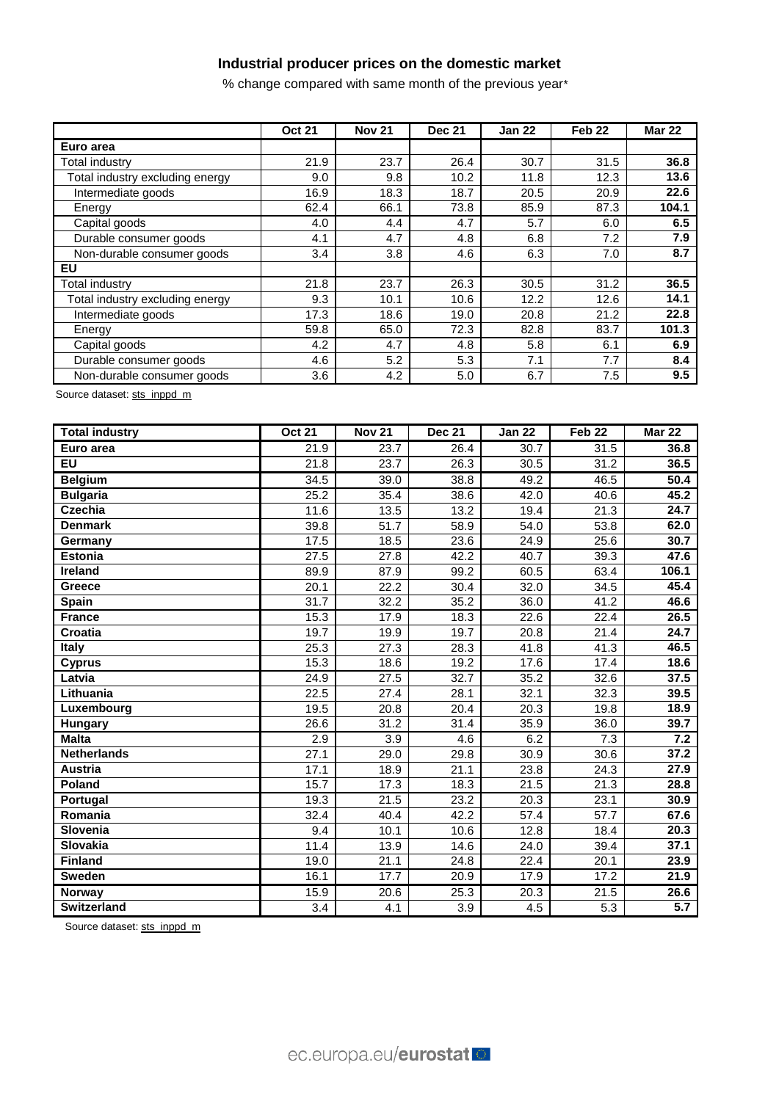## **Industrial producer prices on the domestic market**

% change compared with same month of the previous year\*

|                                 | <b>Oct 21</b> | <b>Nov 21</b> | <b>Dec 21</b> | <b>Jan 22</b> | Feb <sub>22</sub> | <b>Mar 22</b> |
|---------------------------------|---------------|---------------|---------------|---------------|-------------------|---------------|
| Euro area                       |               |               |               |               |                   |               |
| Total industry                  | 21.9          | 23.7          | 26.4          | 30.7          | 31.5              | 36.8          |
| Total industry excluding energy | 9.0           | 9.8           | 10.2          | 11.8          | 12.3              | 13.6          |
| Intermediate goods              | 16.9          | 18.3          | 18.7          | 20.5          | 20.9              | 22.6          |
| Energy                          | 62.4          | 66.1          | 73.8          | 85.9          | 87.3              | 104.1         |
| Capital goods                   | 4.0           | 4.4           | 4.7           | 5.7           | 6.0               | 6.5           |
| Durable consumer goods          | 4.1           | 4.7           | 4.8           | 6.8           | 7.2               | 7.9           |
| Non-durable consumer goods      | 3.4           | 3.8           | 4.6           | 6.3           | 7.0               | 8.7           |
| EU                              |               |               |               |               |                   |               |
| Total industry                  | 21.8          | 23.7          | 26.3          | 30.5          | 31.2              | 36.5          |
| Total industry excluding energy | 9.3           | 10.1          | 10.6          | 12.2          | 12.6              | 14.1          |
| Intermediate goods              | 17.3          | 18.6          | 19.0          | 20.8          | 21.2              | 22.8          |
| Energy                          | 59.8          | 65.0          | 72.3          | 82.8          | 83.7              | 101.3         |
| Capital goods                   | 4.2           | 4.7           | 4.8           | 5.8           | 6.1               | 6.9           |
| Durable consumer goods          | 4.6           | 5.2           | 5.3           | 7.1           | 7.7               | 8.4           |
| Non-durable consumer goods      | 3.6           | 4.2           | 5.0           | 6.7           | 7.5               | 9.5           |

Source dataset: [sts\\_inppd\\_m](https://ec.europa.eu/eurostat/databrowser/bookmark/bd902e9e-9250-4b5a-a935-e357ee2cee92?lang=en)

| <b>Total industry</b> | <b>Oct 21</b>    | <b>Nov 21</b>     | <b>Dec 21</b> | Jan $2\overline{2}$ | Feb <sub>22</sub> | <b>Mar 22</b>    |
|-----------------------|------------------|-------------------|---------------|---------------------|-------------------|------------------|
| Euro area             | 21.9             | 23.7              | 26.4          | 30.7                | 31.5              | 36.8             |
| <b>EU</b>             | 21.8             | 23.7              | 26.3          | 30.5                | 31.2              | 36.5             |
| <b>Belgium</b>        | 34.5             | 39.0              | 38.8          | 49.2                | 46.5              | 50.4             |
| <b>Bulgaria</b>       | 25.2             | 35.4              | 38.6          | 42.0                | 40.6              | 45.2             |
| <b>Czechia</b>        | 11.6             | 13.5              | 13.2          | 19.4                | $\overline{21.3}$ | 24.7             |
| <b>Denmark</b>        | 39.8             | $\overline{51}.7$ | 58.9          | 54.0                | 53.8              | 62.0             |
| Germany               | 17.5             | 18.5              | 23.6          | 24.9                | 25.6              | 30.7             |
| <b>Estonia</b>        | 27.5             | 27.8              | 42.2          | 40.7                | 39.3              | 47.6             |
| <b>Ireland</b>        | 89.9             | 87.9              | 99.2          | 60.5                | 63.4              | 106.1            |
| Greece                | 20.1             | 22.2              | 30.4          | 32.0                | 34.5              | 45.4             |
| Spain                 | 31.7             | 32.2              | 35.2          | 36.0                | 41.2              | 46.6             |
| <b>France</b>         | 15.3             | 17.9              | 18.3          | 22.6                | $\overline{22.4}$ | 26.5             |
| Croatia               | 19.7             | 19.9              | 19.7          | 20.8                | 21.4              | 24.7             |
| <b>Italy</b>          | 25.3             | 27.3              | 28.3          | 41.8                | 41.3              | 46.5             |
| <b>Cyprus</b>         | 15.3             | 18.6              | 19.2          | 17.6                | 17.4              | 18.6             |
| Latvia                | 24.9             | 27.5              | 32.7          | 35.2                | 32.6              | 37.5             |
| Lithuania             | 22.5             | 27.4              | 28.1          | 32.1                | 32.3              | 39.5             |
| Luxembourg            | 19.5             | 20.8              | 20.4          | 20.3                | 19.8              | 18.9             |
| Hungary               | 26.6             | 31.2              | 31.4          | 35.9                | 36.0              | 39.7             |
| <b>Malta</b>          | 2.9              | 3.9               | 4.6           | 6.2                 | 7.3               | $\overline{7.2}$ |
| <b>Netherlands</b>    | 27.1             | 29.0              | 29.8          | 30.9                | 30.6              | 37.2             |
| <b>Austria</b>        | 17.1             | 18.9              | 21.1          | 23.8                | 24.3              | 27.9             |
| Poland                | 15.7             | 17.3              | 18.3          | 21.5                | $\overline{21.3}$ | 28.8             |
| Portugal              | 19.3             | 21.5              | 23.2          | 20.3                | 23.1              | 30.9             |
| Romania               | 32.4             | 40.4              | 42.2          | 57.4                | 57.7              | 67.6             |
| Slovenia              | 9.4              | 10.1              | 10.6          | 12.8                | 18.4              | 20.3             |
| <b>Slovakia</b>       | 11.4             | 13.9              | 14.6          | 24.0                | 39.4              | 37.1             |
| <b>Finland</b>        | 19.0             | 21.1              | 24.8          | 22.4                | 20.1              | 23.9             |
| <b>Sweden</b>         | 16.1             | 17.7              | 20.9          | 17.9                | 17.2              | 21.9             |
| <b>Norway</b>         | 15.9             | 20.6              | 25.3          | 20.3                | 21.5              | 26.6             |
| <b>Switzerland</b>    | $\overline{3.4}$ | 4.1               | 3.9           | 4.5                 | 5.3               | $\overline{5.7}$ |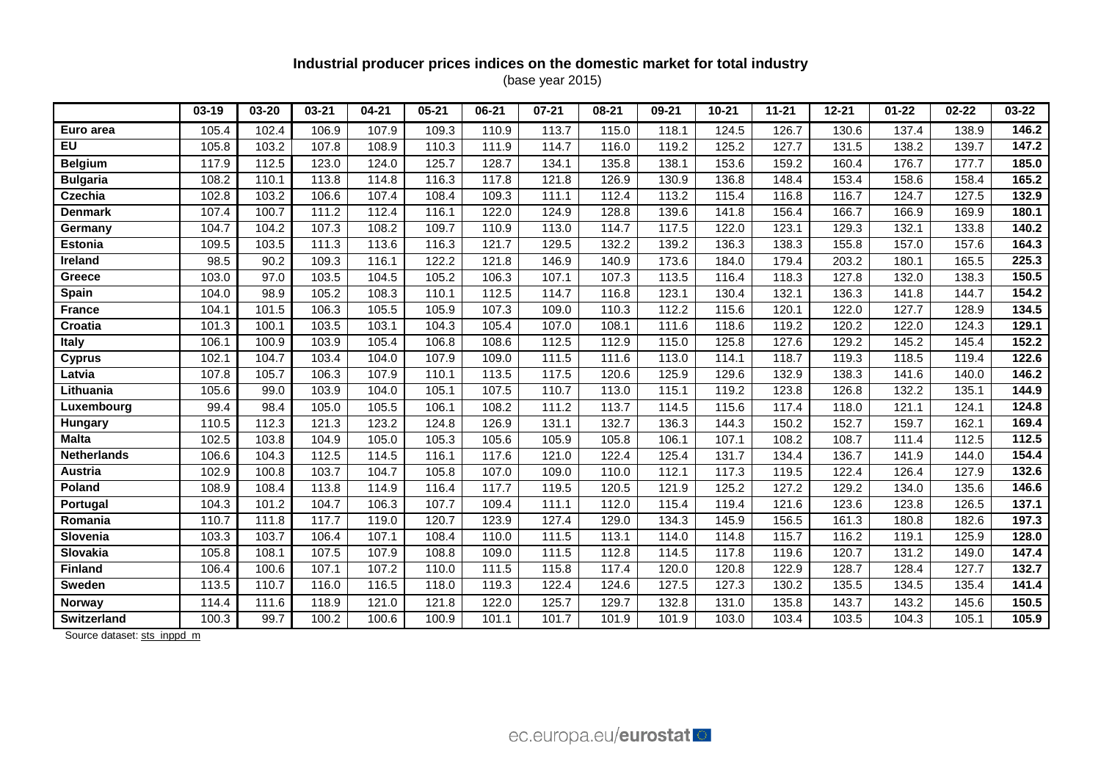# **Industrial producer prices indices on the domestic market for total industry**

(base year 2015)

|                    | $03-19$ | 03-20 | $03 - 21$ | $04 - 21$ | $05 - 21$ | $06 - 21$ | $07 - 21$          | $08 - 21$ | $09 - 21$ | $10 - 21$ | $11 - 21$ | $12 - 21$ | $01 - 22$ | $02 - 22$ | 03-22 |
|--------------------|---------|-------|-----------|-----------|-----------|-----------|--------------------|-----------|-----------|-----------|-----------|-----------|-----------|-----------|-------|
| Euro area          | 105.4   | 102.4 | 106.9     | 107.9     | 109.3     | 110.9     | 113.7              | 115.0     | 118.1     | 124.5     | 126.7     | 130.6     | 137.4     | 138.9     | 146.2 |
| $E$ U              | 105.8   | 103.2 | 107.8     | 108.9     | 110.3     | 111.9     | 114.7              | 116.0     | 119.2     | 125.2     | 127.7     | 131.5     | 138.2     | 139.7     | 147.2 |
| <b>Belgium</b>     | 117.9   | 112.5 | 123.0     | 124.0     | 125.7     | 128.7     | 134.1              | 135.8     | 138.1     | 153.6     | 159.2     | 160.4     | 176.7     | 177.7     | 185.0 |
| <b>Bulgaria</b>    | 108.2   | 110.1 | 113.8     | 114.8     | 116.3     | 117.8     | 121.8              | 126.9     | 130.9     | 136.8     | 148.4     | 153.4     | 158.6     | 158.4     | 165.2 |
| <b>Czechia</b>     | 102.8   | 103.2 | 106.6     | 107.4     | 108.4     | 109.3     | 111.1              | 112.4     | 113.2     | 115.4     | 116.8     | 116.7     | 124.7     | 127.5     | 132.9 |
| <b>Denmark</b>     | 107.4   | 100.7 | 111.2     | 112.4     | 116.1     | 122.0     | 124.9              | 128.8     | 139.6     | 141.8     | 156.4     | 166.7     | 166.9     | 169.9     | 180.1 |
| Germany            | 104.7   | 104.2 | 107.3     | 108.2     | 109.7     | 110.9     | 113.0              | 114.7     | 117.5     | 122.0     | 123.1     | 129.3     | 132.1     | 133.8     | 140.2 |
| <b>Estonia</b>     | 109.5   | 103.5 | 111.3     | 113.6     | 116.3     | 121.7     | 129.5              | 132.2     | 139.2     | 136.3     | 138.3     | 155.8     | 157.0     | 157.6     | 164.3 |
| Ireland            | 98.5    | 90.2  | 109.3     | 116.1     | 122.2     | 121.8     | 146.9              | 140.9     | 173.6     | 184.0     | 179.4     | 203.2     | 180.1     | 165.5     | 225.3 |
| <b>Greece</b>      | 103.0   | 97.0  | 103.5     | 104.5     | 105.2     | 106.3     | 107.1              | 107.3     | 113.5     | 116.4     | 118.3     | 127.8     | 132.0     | 138.3     | 150.5 |
| Spain              | 104.0   | 98.9  | 105.2     | 108.3     | 110.1     | 112.5     | 114.7              | 116.8     | 123.1     | 130.4     | 132.1     | 136.3     | 141.8     | 144.7     | 154.2 |
| <b>France</b>      | 104.1   | 101.5 | 106.3     | 105.5     | 105.9     | 107.3     | 109.0              | 110.3     | 112.2     | 115.6     | 120.1     | 122.0     | 127.7     | 128.9     | 134.5 |
| Croatia            | 101.3   | 100.1 | 103.5     | 103.1     | 104.3     | 105.4     | 107.0              | 108.1     | 111.6     | 118.6     | 119.2     | 120.2     | 122.0     | 124.3     | 129.1 |
| <b>Italy</b>       | 106.1   | 100.9 | 103.9     | 105.4     | 106.8     | 108.6     | 112.5              | 112.9     | 115.0     | 125.8     | 127.6     | 129.2     | 145.2     | 145.4     | 152.2 |
| <b>Cyprus</b>      | 102.1   | 104.7 | 103.4     | 104.0     | 107.9     | 109.0     | 111.5              | 111.6     | 113.0     | 114.1     | 118.7     | 119.3     | 118.5     | 119.4     | 122.6 |
| Latvia             | 107.8   | 105.7 | 106.3     | 107.9     | 110.1     | 113.5     | 117.5              | 120.6     | 125.9     | 129.6     | 132.9     | 138.3     | 141.6     | 140.0     | 146.2 |
| Lithuania          | 105.6   | 99.0  | 103.9     | 104.0     | 105.1     | 107.5     | 110.7              | 113.0     | 115.1     | 119.2     | 123.8     | 126.8     | 132.2     | 135.1     | 144.9 |
| Luxembourg         | 99.4    | 98.4  | 105.0     | 105.5     | 106.1     | 108.2     | 111.2              | 113.7     | 114.5     | 115.6     | 117.4     | 118.0     | 121.1     | 124.1     | 124.8 |
| Hungary            | 110.5   | 112.3 | 121.3     | 123.2     | 124.8     | 126.9     | 131.1              | 132.7     | 136.3     | 144.3     | 150.2     | 152.7     | 159.7     | 162.1     | 169.4 |
| <b>Malta</b>       | 102.5   | 103.8 | 104.9     | 105.0     | 105.3     | 105.6     | 105.9              | 105.8     | 106.1     | 107.1     | 108.2     | 108.7     | 111.4     | 112.5     | 112.5 |
| <b>Netherlands</b> | 106.6   | 104.3 | 112.5     | 114.5     | 116.1     | 117.6     | 121.0              | 122.4     | 125.4     | 131.7     | 134.4     | 136.7     | 141.9     | 144.0     | 154.4 |
| <b>Austria</b>     | 102.9   | 100.8 | 103.7     | 104.7     | 105.8     | 107.0     | 109.0              | 110.0     | 112.1     | 117.3     | 119.5     | 122.4     | 126.4     | 127.9     | 132.6 |
| <b>Poland</b>      | 108.9   | 108.4 | 113.8     | 114.9     | 116.4     | 117.7     | 119.5              | 120.5     | 121.9     | 125.2     | 127.2     | 129.2     | 134.0     | 135.6     | 146.6 |
| Portugal           | 104.3   | 101.2 | 104.7     | 106.3     | 107.7     | 109.4     | 111.1              | 112.0     | 115.4     | 119.4     | 121.6     | 123.6     | 123.8     | 126.5     | 137.1 |
| Romania            | 110.7   | 111.8 | 117.7     | 119.0     | 120.7     | 123.9     | 127.4              | 129.0     | 134.3     | 145.9     | 156.5     | 161.3     | 180.8     | 182.6     | 197.3 |
| Slovenia           | 103.3   | 103.7 | 106.4     | 107.1     | 108.4     | 110.0     | $\overline{111.5}$ | 113.1     | 114.0     | 114.8     | 115.7     | 116.2     | 119.1     | 125.9     | 128.0 |
| Slovakia           | 105.8   | 108.1 | 107.5     | 107.9     | 108.8     | 109.0     | 111.5              | 112.8     | 114.5     | 117.8     | 119.6     | 120.7     | 131.2     | 149.0     | 147.4 |
| <b>Finland</b>     | 106.4   | 100.6 | 107.1     | 107.2     | 110.0     | 111.5     | 115.8              | 117.4     | 120.0     | 120.8     | 122.9     | 128.7     | 128.4     | 127.7     | 132.7 |
| <b>Sweden</b>      | 113.5   | 110.7 | 116.0     | 116.5     | 118.0     | 119.3     | 122.4              | 124.6     | 127.5     | 127.3     | 130.2     | 135.5     | 134.5     | 135.4     | 141.4 |
| <b>Norway</b>      | 114.4   | 111.6 | 118.9     | 121.0     | 121.8     | 122.0     | 125.7              | 129.7     | 132.8     | 131.0     | 135.8     | 143.7     | 143.2     | 145.6     | 150.5 |
| <b>Switzerland</b> | 100.3   | 99.7  | 100.2     | 100.6     | 100.9     | 101.1     | 101.7              | 101.9     | 101.9     | 103.0     | 103.4     | 103.5     | 104.3     | 105.1     | 105.9 |